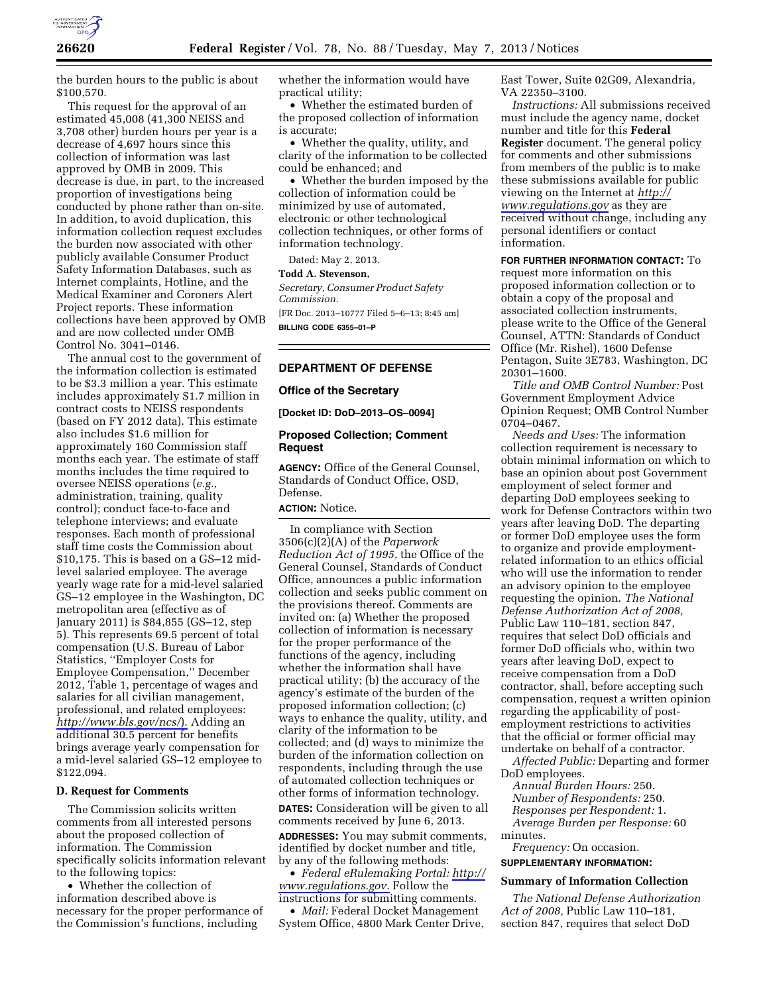

the burden hours to the public is about \$100,570.

This request for the approval of an estimated 45,008 (41,300 NEISS and 3,708 other) burden hours per year is a decrease of 4,697 hours since this collection of information was last approved by OMB in 2009. This decrease is due, in part, to the increased proportion of investigations being conducted by phone rather than on-site. In addition, to avoid duplication, this information collection request excludes the burden now associated with other publicly available Consumer Product Safety Information Databases, such as Internet complaints, Hotline, and the Medical Examiner and Coroners Alert Project reports. These information collections have been approved by OMB and are now collected under OMB Control No. 3041–0146.

The annual cost to the government of the information collection is estimated to be \$3.3 million a year. This estimate includes approximately \$1.7 million in contract costs to NEISS respondents (based on FY 2012 data). This estimate also includes \$1.6 million for approximately 160 Commission staff months each year. The estimate of staff months includes the time required to oversee NEISS operations (*e.g.,*  administration, training, quality control); conduct face-to-face and telephone interviews; and evaluate responses. Each month of professional staff time costs the Commission about \$10,175. This is based on a GS–12 midlevel salaried employee. The average yearly wage rate for a mid-level salaried GS–12 employee in the Washington, DC metropolitan area (effective as of January 2011) is \$84,855 (GS–12, step 5). This represents 69.5 percent of total compensation (U.S. Bureau of Labor Statistics, ''Employer Costs for Employee Compensation,'' December 2012, Table 1, percentage of wages and salaries for all civilian management, professional, and related employees: *<http://www.bls.gov/ncs/>*). Adding an additional 30.5 percent for benefits brings average yearly compensation for a mid-level salaried GS–12 employee to \$122,094.

### **D. Request for Comments**

The Commission solicits written comments from all interested persons about the proposed collection of information. The Commission specifically solicits information relevant to the following topics:

• Whether the collection of information described above is necessary for the proper performance of the Commission's functions, including

whether the information would have practical utility;

• Whether the estimated burden of the proposed collection of information is accurate;

• Whether the quality, utility, and clarity of the information to be collected could be enhanced; and

• Whether the burden imposed by the collection of information could be minimized by use of automated, electronic or other technological collection techniques, or other forms of information technology.

Dated: May 2, 2013.

### **Todd A. Stevenson,**

*Secretary, Consumer Product Safety Commission.* 

[FR Doc. 2013–10777 Filed 5–6–13; 8:45 am] **BILLING CODE 6355–01–P** 

# **DEPARTMENT OF DEFENSE**

#### **Office of the Secretary**

**[Docket ID: DoD–2013–OS–0094]** 

# **Proposed Collection; Comment Request**

**AGENCY:** Office of the General Counsel, Standards of Conduct Office, OSD, Defense.

## **ACTION:** Notice.

In compliance with Section 3506(c)(2)(A) of the *Paperwork Reduction Act of 1995,* the Office of the General Counsel, Standards of Conduct Office, announces a public information collection and seeks public comment on the provisions thereof. Comments are invited on: (a) Whether the proposed collection of information is necessary for the proper performance of the functions of the agency, including whether the information shall have practical utility; (b) the accuracy of the agency's estimate of the burden of the proposed information collection; (c) ways to enhance the quality, utility, and clarity of the information to be collected; and (d) ways to minimize the burden of the information collection on respondents, including through the use of automated collection techniques or other forms of information technology.

**DATES:** Consideration will be given to all comments received by June 6, 2013.

**ADDRESSES:** You may submit comments, identified by docket number and title, by any of the following methods:

• *Federal eRulemaking Portal: [http://](http://www.regulations.gov)  [www.regulations.gov.](http://www.regulations.gov)* Follow the instructions for submitting comments.

• *Mail:* Federal Docket Management System Office, 4800 Mark Center Drive, East Tower, Suite 02G09, Alexandria, VA 22350–3100.

*Instructions:* All submissions received must include the agency name, docket number and title for this **Federal Register** document. The general policy for comments and other submissions from members of the public is to make these submissions available for public viewing on the Internet at *[http://](http://www.regulations.gov) [www.regulations.gov](http://www.regulations.gov)* as they are received without change, including any personal identifiers or contact information.

**FOR FURTHER INFORMATION CONTACT:** To request more information on this proposed information collection or to obtain a copy of the proposal and associated collection instruments, please write to the Office of the General Counsel, ATTN: Standards of Conduct Office (Mr. Rishel), 1600 Defense Pentagon, Suite 3E783, Washington, DC 20301–1600.

*Title and OMB Control Number:* Post Government Employment Advice Opinion Request; OMB Control Number 0704–0467.

*Needs and Uses:* The information collection requirement is necessary to obtain minimal information on which to base an opinion about post Government employment of select former and departing DoD employees seeking to work for Defense Contractors within two years after leaving DoD. The departing or former DoD employee uses the form to organize and provide employmentrelated information to an ethics official who will use the information to render an advisory opinion to the employee requesting the opinion. *The National Defense Authorization Act of 2008,*  Public Law 110–181, section 847, requires that select DoD officials and former DoD officials who, within two years after leaving DoD, expect to receive compensation from a DoD contractor, shall, before accepting such compensation, request a written opinion regarding the applicability of postemployment restrictions to activities that the official or former official may undertake on behalf of a contractor.

*Affected Public:* Departing and former DoD employees.

*Annual Burden Hours:* 250. *Number of Respondents:* 250. *Responses per Respondent:* 1. *Average Burden per Response:* 60 minutes.

*Frequency:* On occasion.

# **SUPPLEMENTARY INFORMATION:**

# **Summary of Information Collection**

*The National Defense Authorization Act of 2008,* Public Law 110–181, section 847, requires that select DoD